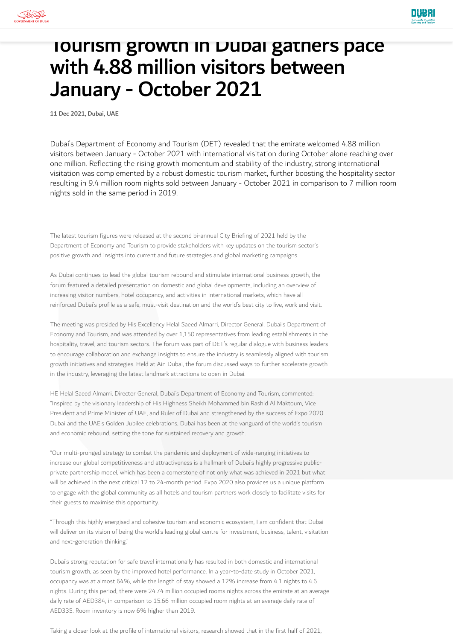

## Tourism growth in Dubai gathers pace with 4.88 million visitors between January - October 2021

11 Dec 2021, Dubai, UAE

Dubai's Department of Economy and Tourism (DET) revealed that the emirate welcomed 4.88 million visitors between January - October 2021 with international visitation during October alone reaching over one million. Reflecting the rising growth momentum and stability of the industry, strong international visitation was complemented by a robust domestic tourism market, further boosting the hospitality sector resulting in 9.4 million room nights sold between January - October 2021 in comparison to 7 million room nights sold in the same period in 2019.

The latest tourism figures were released at the second bi-annual City Briefing of 2021 held by the Department of Economy and Tourism to provide stakeholders with key updates on the tourism sector's positive growth and insights into current and future strategies and global marketing campaigns.

As Dubai continues to lead the global tourism rebound and stimulate international business growth, the forum featured a detailed presentation on domestic and global developments, including an overview of increasing visitor numbers, hotel occupancy, and activities in international markets, which have all reinforced Dubai's profile as a safe, must-visit destination and the world's best city to live, work and visit.

The meeting was presided by His Excellency Helal Saeed Almarri, Director General, Dubai's Department of Economy and Tourism, and was attended by over 1,150 representatives from leading establishments in the hospitality, travel, and tourism sectors. The forum was part of DET's regular dialogue with business leaders to encourage collaboration and exchange insights to ensure the industry is seamlessly aligned with tourism growth initiatives and strategies. Held at Ain Dubai, the forum discussed ways to further accelerate growth in the industry, leveraging the latest landmark attractions to open in Dubai.

HE Helal Saeed Almarri, Director General, Dubai's Department of Economy and Tourism, commented: "Inspired by the visionary leadership of His Highness Sheikh Mohammed bin Rashid Al Maktoum, Vice President and Prime Minister of UAE, and Ruler of Dubai and strengthened by the success of Expo 2020 Dubai and the UAE's Golden Jubilee celebrations, Dubai has been at the vanguard of the world's tourism and economic rebound, setting the tone for sustained recovery and growth.

"Our multi-pronged strategy to combat the pandemic and deployment of wide-ranging initiatives to increase our global competitiveness and attractiveness is a hallmark of Dubai's highly progressive publicprivate partnership model, which has been a cornerstone of not only what was achieved in 2021 but what will be achieved in the next critical 12 to 24-month period. Expo 2020 also provides us a unique platform to engage with the global community as all hotels and tourism partners work closely to facilitate visits for their guests to maximise this opportunity.

"Through this highly energised and cohesive tourism and economic ecosystem, I am confident that Dubai will deliver on its vision of being the world's leading global centre for investment, business, talent, visitation and next-generation thinking."

Dubai's strong reputation for safe travel internationally has resulted in both domestic and international tourism growth, as seen by the improved hotel performance. In a year-to-date study in October 2021, occupancy was at almost 64%, while the length of stay showed a 12% increase from 4.1 nights to 4.6 nights. During this period, there were 24.74 million occupied rooms nights across the emirate at an average daily rate of AED384, in comparison to 15.66 million occupied room nights at an average daily rate of AED335. Room inventory is now 6% higher than 2019.

Taking a closer look at the profile of international visitors, research showed that in the first half of 2021,